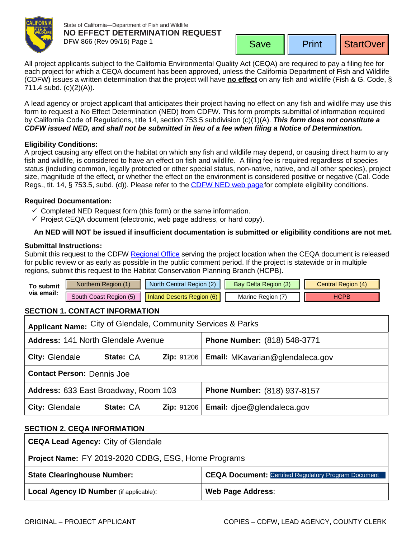

State of California—Department of Fish and Wildlife **NO EFFECT DETERMINATION REQUEST** DFW 866 (Rev 09/16) Page 1

Print | StartOver

<span id="page-0-0"></span>All project applicants subject to the California Environmental Quality Act (CEQA) are required to pay a filing fee for each project for which a CEQA document has been approved, unless the California Department of Fish and Wildlife (CDFW) issues a written determination that the project will have **no effect** on any fish and wildlife (Fish & G. Code, § 711.4 subd. (c)(2)(A)).

A lead agency or project applicant that anticipates their project having no effect on any fish and wildlife may use this form to request a No Effect Determination (NED) from CDFW. This form prompts submittal of information required by California Code of Regulations, title 14, section 753.5 subdivision (c)(1)(A). *This form does not constitute a CDFW issued NED, and shall not be submitted in lieu of a fee when filing a Notice of Determination.*

### **Eligibility Conditions:**

A project causing any effect on the habitat on which any fish and wildlife may depend, or causing direct harm to any fish and wildlife, is considered to have an effect on fish and wildlife. A filing fee is required regardless of species status (including common, legally protected or other special status, non-native, native, and all other species), project size, magnitude of the effect, or whether the effect on the environment is considered positive or negative (Cal. Code Regs., tit. 14, § 753.5, subd. (d)). Please refer to the CDFW [NED web page](https://www.wildlife.ca.gov/Conservation/CEQA/NED) for complete eligibility conditions.

### **Required Documentation:**

- $\checkmark$  Completed NED Request form (this form) or the same information.
- $\checkmark$  Project CEQA document (electronic, web page address, or hard copy).

## **An NED will NOT be issued if insufficient documen[tation is submi](mailto:AskRegion6@wildlife.ca.gov?subject=NED%20Request%20Inland%20Deserts%20Region)tted or eligibility conditions are not met.**

#### **Submittal Instructions:**

Submit this request to the CDFW [Regional Office](https://www.wildlife.ca.gov/Regions) serving the project location when the CEQA document is released for public review or as early as possible in the public comment period. If the project is statewide or in multiple regions, submit this request to the [Habitat Conservation Planning Branch](mailto:CEQA@wildlife.ca.gov) (HCPB).

| Го submit  | Northern Region (1)    | North Central Region (2)  | <b>Bay Delta Region (3)</b> | Central Region (4) |
|------------|------------------------|---------------------------|-----------------------------|--------------------|
| via email: | South Coast Region (5) | Inland Deserts Region (6) | Marine Region (             | ⊣CPB               |

# **SECTION 1. CONTACT INFORMATION**

| Applicant Name: City of Glendale, Community Services & Parks |           |  |                                              |  |  |  |
|--------------------------------------------------------------|-----------|--|----------------------------------------------|--|--|--|
| <b>Address: 141 North Glendale Avenue</b>                    |           |  | <b>Phone Number: (818) 548-3771</b>          |  |  |  |
| City: Glendale                                               | State: CA |  | Zip: 91206   Email: MKavarian@glendaleca.gov |  |  |  |
| <b>Contact Person: Dennis Joe</b>                            |           |  |                                              |  |  |  |
| Address: 633 East Broadway, Room 103                         |           |  | <b>Phone Number: (818) 937-8157</b>          |  |  |  |
| City: Glendale                                               | State: CA |  | Zip: 91206   Email: djoe@glendaleca.gov      |  |  |  |

## **SECTION 2. CEQA INFORMATION**

| <b>CEQA Lead Agency: City of Glendale</b>           |                                                             |  |  |  |
|-----------------------------------------------------|-------------------------------------------------------------|--|--|--|
| Project Name: FY 2019-2020 CDBG, ESG, Home Programs |                                                             |  |  |  |
| <b>State Clearinghouse Number:</b>                  | <b>CEQA Document: Certified Regulatory Program Document</b> |  |  |  |
| <b>Local Agency ID Number</b> (if applicable):      | <b>Web Page Address:</b>                                    |  |  |  |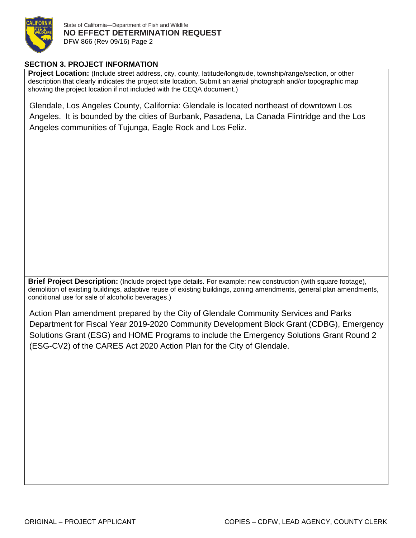

# **SECTION 3. PROJECT INFORMATION**

**Project Location:** (Include street address, city, county, latitude/longitude, township/range/section, or other description that clearly indicates the project site location. Submit an aerial photograph and/or topographic map showing the project location if not included with the CEQA document.)

Glendale, Los Angeles County, California: Glendale is located northeast of downtown Los Angeles. It is bounded by the cities of Burbank, Pasadena, La Canada Flintridge and the Los Angeles communities of Tujunga, Eagle Rock and Los Feliz.

**Brief Project Description:** (Include project type details. For example: new construction (with square footage), demolition of existing buildings, adaptive reuse of existing buildings, zoning amendments, general plan amendments, conditional use for sale of alcoholic beverages.)

Action Plan amendment prepared by the City of Glendale Community Services and Parks Department for Fiscal Year 2019-2020 Community Development Block Grant (CDBG), Emergency Solutions Grant (ESG) and HOME Programs to include the Emergency Solutions Grant Round 2 (ESG-CV2) of the CARES Act 2020 Action Plan for the City of Glendale.